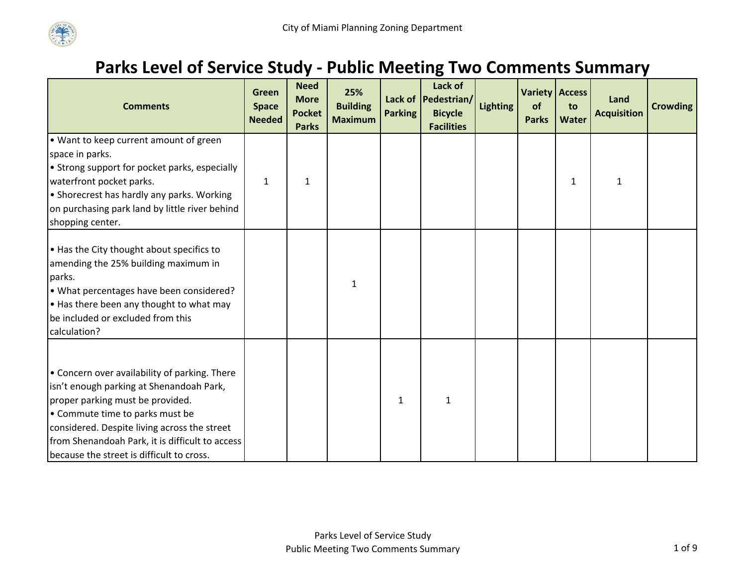

## **Parks Level of Service Study ‐ Public Meeting Two Comments Summary**

| <b>Comments</b>                                                                                                                                                                                                                                                                                                  | <b>Green</b><br><b>Space</b><br><b>Needed</b> | <b>Need</b><br><b>More</b><br><b>Pocket</b><br><b>Parks</b> | 25%<br><b>Building</b><br><b>Maximum</b> | <b>Parking</b> | Lack of<br>Lack of Pedestrian/<br><b>Bicycle</b><br><b>Facilities</b> | <b>Lighting</b> | of<br><b>Parks</b> | <b>Variety Access</b><br>to<br><b>Water</b> | Land<br><b>Acquisition</b> | <b>Crowding</b> |
|------------------------------------------------------------------------------------------------------------------------------------------------------------------------------------------------------------------------------------------------------------------------------------------------------------------|-----------------------------------------------|-------------------------------------------------------------|------------------------------------------|----------------|-----------------------------------------------------------------------|-----------------|--------------------|---------------------------------------------|----------------------------|-----------------|
| . Want to keep current amount of green<br>space in parks.<br>• Strong support for pocket parks, especially<br>waterfront pocket parks.<br>• Shorecrest has hardly any parks. Working<br>on purchasing park land by little river behind<br>shopping center.                                                       | $\mathbf{1}$                                  | 1                                                           |                                          |                |                                                                       |                 |                    | 1                                           | 1                          |                 |
| . Has the City thought about specifics to<br>amending the 25% building maximum in<br>parks.<br>• What percentages have been considered?<br>. Has there been any thought to what may<br>be included or excluded from this<br>calculation?                                                                         |                                               |                                                             | $\mathbf{1}$                             |                |                                                                       |                 |                    |                                             |                            |                 |
| • Concern over availability of parking. There<br>isn't enough parking at Shenandoah Park,<br>proper parking must be provided.<br>• Commute time to parks must be<br>considered. Despite living across the street<br>from Shenandoah Park, it is difficult to access<br>because the street is difficult to cross. |                                               |                                                             |                                          | $\mathbf{1}$   | $\mathbf 1$                                                           |                 |                    |                                             |                            |                 |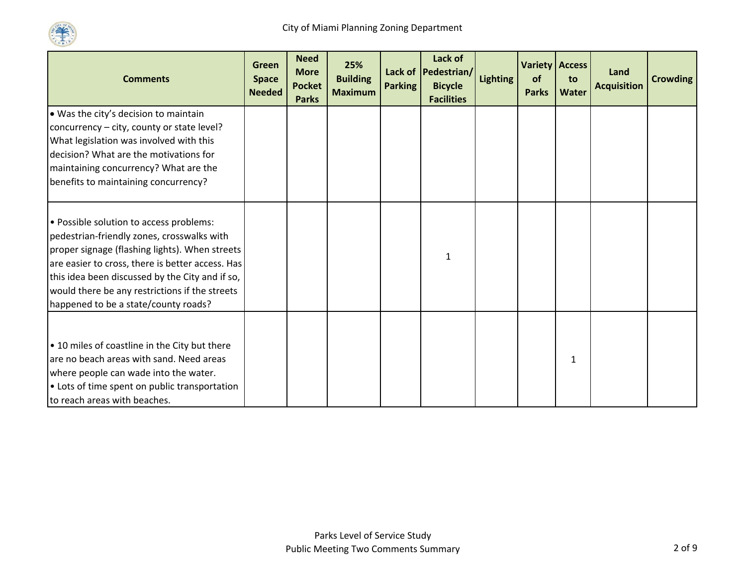

| <b>Comments</b>                                                                                                                                                                                                                                                                                                                          | Green<br><b>Space</b><br><b>Needed</b> | <b>Need</b><br><b>More</b><br><b>Pocket</b><br><b>Parks</b> | 25%<br><b>Building</b><br><b>Maximum</b> | <b>Parking</b> | Lack of<br>Lack of   Pedestrian/<br><b>Bicycle</b><br><b>Facilities</b> | <b>Lighting</b> | <b>Variety Access</b><br>of<br><b>Parks</b> | to<br><b>Water</b> | Land<br><b>Acquisition</b> | <b>Crowding</b> |
|------------------------------------------------------------------------------------------------------------------------------------------------------------------------------------------------------------------------------------------------------------------------------------------------------------------------------------------|----------------------------------------|-------------------------------------------------------------|------------------------------------------|----------------|-------------------------------------------------------------------------|-----------------|---------------------------------------------|--------------------|----------------------------|-----------------|
| . Was the city's decision to maintain<br>concurrency - city, county or state level?<br>What legislation was involved with this<br>decision? What are the motivations for<br>maintaining concurrency? What are the<br>benefits to maintaining concurrency?                                                                                |                                        |                                                             |                                          |                |                                                                         |                 |                                             |                    |                            |                 |
| • Possible solution to access problems:<br>pedestrian-friendly zones, crosswalks with<br>proper signage (flashing lights). When streets<br>are easier to cross, there is better access. Has<br>this idea been discussed by the City and if so,<br>would there be any restrictions if the streets<br>happened to be a state/county roads? |                                        |                                                             |                                          |                | 1                                                                       |                 |                                             |                    |                            |                 |
| • 10 miles of coastline in the City but there<br>are no beach areas with sand. Need areas<br>where people can wade into the water.<br>• Lots of time spent on public transportation<br>to reach areas with beaches.                                                                                                                      |                                        |                                                             |                                          |                |                                                                         |                 |                                             | $\mathbf{1}$       |                            |                 |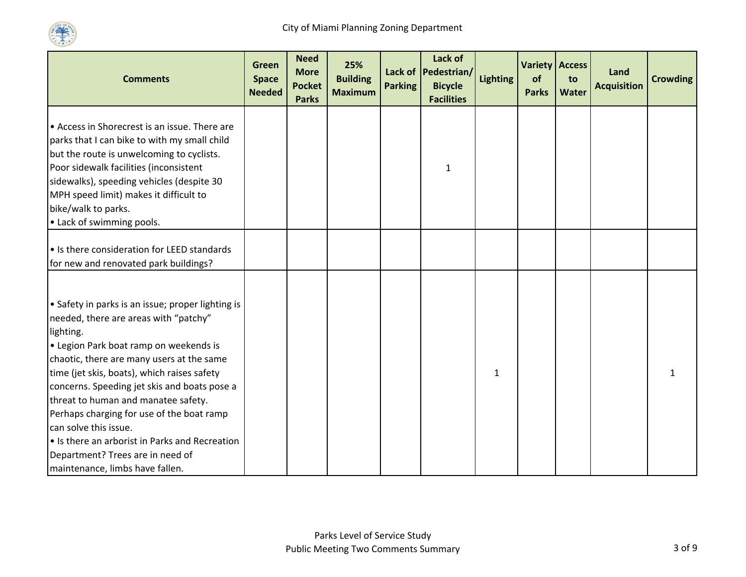

| <b>Comments</b>                                                                                                                                                                                                                                                                                                                                                                                                                                                                                                                     | Green<br><b>Space</b><br><b>Needed</b> | <b>Need</b><br><b>More</b><br><b>Pocket</b><br><b>Parks</b> | 25%<br><b>Building</b><br><b>Maximum</b> | <b>Parking</b> | Lack of<br>Lack of   Pedestrian/<br><b>Bicycle</b><br><b>Facilities</b> | <b>Lighting</b> | <b>Variety Access</b><br>of<br><b>Parks</b> | to<br>Water | Land<br><b>Acquisition</b> | <b>Crowding</b> |
|-------------------------------------------------------------------------------------------------------------------------------------------------------------------------------------------------------------------------------------------------------------------------------------------------------------------------------------------------------------------------------------------------------------------------------------------------------------------------------------------------------------------------------------|----------------------------------------|-------------------------------------------------------------|------------------------------------------|----------------|-------------------------------------------------------------------------|-----------------|---------------------------------------------|-------------|----------------------------|-----------------|
| • Access in Shorecrest is an issue. There are<br>parks that I can bike to with my small child<br>but the route is unwelcoming to cyclists.<br>Poor sidewalk facilities (inconsistent<br>sidewalks), speeding vehicles (despite 30<br>MPH speed limit) makes it difficult to<br>bike/walk to parks.<br>• Lack of swimming pools.                                                                                                                                                                                                     |                                        |                                                             |                                          |                | $\mathbf{1}$                                                            |                 |                                             |             |                            |                 |
| • Is there consideration for LEED standards<br>for new and renovated park buildings?                                                                                                                                                                                                                                                                                                                                                                                                                                                |                                        |                                                             |                                          |                |                                                                         |                 |                                             |             |                            |                 |
| • Safety in parks is an issue; proper lighting is<br>needed, there are areas with "patchy"<br>lighting.<br>• Legion Park boat ramp on weekends is<br>chaotic, there are many users at the same<br>time (jet skis, boats), which raises safety<br>concerns. Speeding jet skis and boats pose a<br>threat to human and manatee safety.<br>Perhaps charging for use of the boat ramp<br>can solve this issue.<br>• Is there an arborist in Parks and Recreation<br>Department? Trees are in need of<br>maintenance, limbs have fallen. |                                        |                                                             |                                          |                |                                                                         | 1               |                                             |             |                            |                 |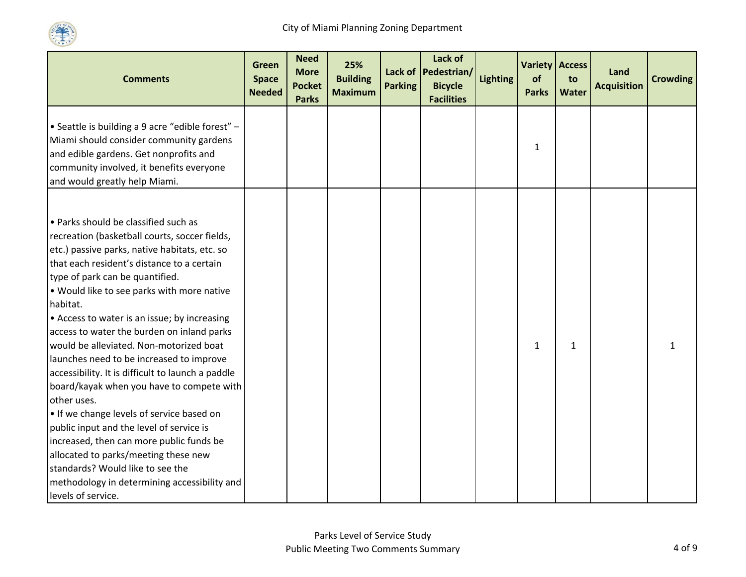

| <b>Comments</b>                                                                                                                                                                   | <b>Green</b><br><b>Space</b><br><b>Needed</b> | <b>Need</b><br><b>More</b><br><b>Pocket</b><br><b>Parks</b> | 25%<br><b>Building</b><br><b>Maximum</b> | <b>Parking</b> | Lack of<br>Lack of Pedestrian/<br><b>Bicycle</b><br><b>Facilities</b> | <b>Lighting</b> | of<br><b>Parks</b> | <b>Variety Access</b><br>to<br><b>Water</b> | Land<br><b>Acquisition</b> | <b>Crowding</b> |
|-----------------------------------------------------------------------------------------------------------------------------------------------------------------------------------|-----------------------------------------------|-------------------------------------------------------------|------------------------------------------|----------------|-----------------------------------------------------------------------|-----------------|--------------------|---------------------------------------------|----------------------------|-----------------|
| • Seattle is building a 9 acre "edible forest" -<br>Miami should consider community gardens<br>and edible gardens. Get nonprofits and<br>community involved, it benefits everyone |                                               |                                                             |                                          |                |                                                                       |                 | $\mathbf{1}$       |                                             |                            |                 |
| and would greatly help Miami.                                                                                                                                                     |                                               |                                                             |                                          |                |                                                                       |                 |                    |                                             |                            |                 |
| • Parks should be classified such as<br>recreation (basketball courts, soccer fields,<br>etc.) passive parks, native habitats, etc. so                                            |                                               |                                                             |                                          |                |                                                                       |                 |                    |                                             |                            |                 |
| that each resident's distance to a certain                                                                                                                                        |                                               |                                                             |                                          |                |                                                                       |                 |                    |                                             |                            |                 |
| type of park can be quantified.                                                                                                                                                   |                                               |                                                             |                                          |                |                                                                       |                 |                    |                                             |                            |                 |
| . Would like to see parks with more native                                                                                                                                        |                                               |                                                             |                                          |                |                                                                       |                 |                    |                                             |                            |                 |
| habitat.<br>• Access to water is an issue; by increasing                                                                                                                          |                                               |                                                             |                                          |                |                                                                       |                 |                    |                                             |                            |                 |
| access to water the burden on inland parks                                                                                                                                        |                                               |                                                             |                                          |                |                                                                       |                 |                    |                                             |                            |                 |
| would be alleviated. Non-motorized boat                                                                                                                                           |                                               |                                                             |                                          |                |                                                                       |                 | $\mathbf{1}$       | 1                                           |                            |                 |
| launches need to be increased to improve                                                                                                                                          |                                               |                                                             |                                          |                |                                                                       |                 |                    |                                             |                            |                 |
| accessibility. It is difficult to launch a paddle                                                                                                                                 |                                               |                                                             |                                          |                |                                                                       |                 |                    |                                             |                            |                 |
| board/kayak when you have to compete with                                                                                                                                         |                                               |                                                             |                                          |                |                                                                       |                 |                    |                                             |                            |                 |
| other uses.                                                                                                                                                                       |                                               |                                                             |                                          |                |                                                                       |                 |                    |                                             |                            |                 |
| . If we change levels of service based on                                                                                                                                         |                                               |                                                             |                                          |                |                                                                       |                 |                    |                                             |                            |                 |
| public input and the level of service is                                                                                                                                          |                                               |                                                             |                                          |                |                                                                       |                 |                    |                                             |                            |                 |
| increased, then can more public funds be                                                                                                                                          |                                               |                                                             |                                          |                |                                                                       |                 |                    |                                             |                            |                 |
| allocated to parks/meeting these new                                                                                                                                              |                                               |                                                             |                                          |                |                                                                       |                 |                    |                                             |                            |                 |
| standards? Would like to see the                                                                                                                                                  |                                               |                                                             |                                          |                |                                                                       |                 |                    |                                             |                            |                 |
| methodology in determining accessibility and                                                                                                                                      |                                               |                                                             |                                          |                |                                                                       |                 |                    |                                             |                            |                 |
| levels of service.                                                                                                                                                                |                                               |                                                             |                                          |                |                                                                       |                 |                    |                                             |                            |                 |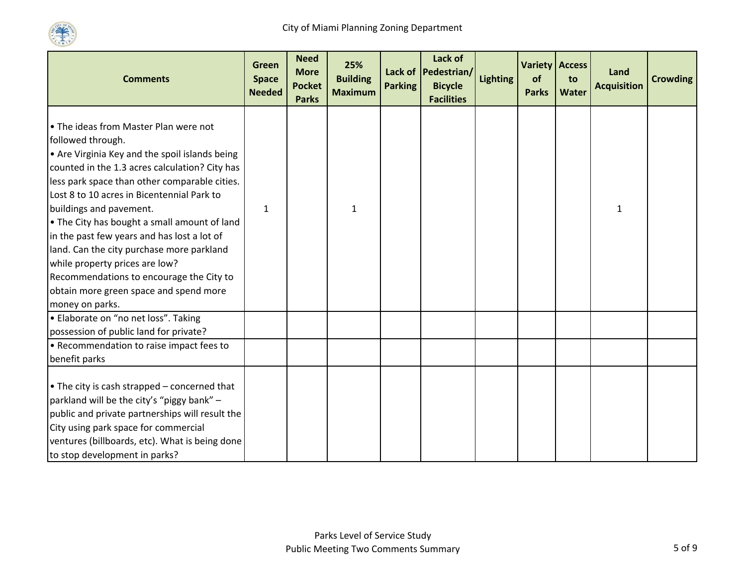

| <b>Comments</b>                                                                                                                                                                                                                                                                                                                                                                                                                                                                                                                                                                 | <b>Green</b><br><b>Space</b><br><b>Needed</b> | <b>Need</b><br><b>More</b><br><b>Pocket</b><br><b>Parks</b> | 25%<br><b>Building</b><br><b>Maximum</b> | <b>Parking</b> | Lack of<br>Lack of Pedestrian/<br><b>Bicycle</b><br><b>Facilities</b> | <b>Lighting</b> | Variety Access<br>of<br><b>Parks</b> | to<br>Water | Land<br><b>Acquisition</b> | <b>Crowding</b> |
|---------------------------------------------------------------------------------------------------------------------------------------------------------------------------------------------------------------------------------------------------------------------------------------------------------------------------------------------------------------------------------------------------------------------------------------------------------------------------------------------------------------------------------------------------------------------------------|-----------------------------------------------|-------------------------------------------------------------|------------------------------------------|----------------|-----------------------------------------------------------------------|-----------------|--------------------------------------|-------------|----------------------------|-----------------|
| • The ideas from Master Plan were not<br>followed through.<br>• Are Virginia Key and the spoil islands being<br>counted in the 1.3 acres calculation? City has<br>less park space than other comparable cities.<br>Lost 8 to 10 acres in Bicentennial Park to<br>buildings and pavement.<br>• The City has bought a small amount of land<br>in the past few years and has lost a lot of<br>land. Can the city purchase more parkland<br>while property prices are low?<br>Recommendations to encourage the City to<br>obtain more green space and spend more<br>money on parks. | $\mathbf{1}$                                  |                                                             | 1                                        |                |                                                                       |                 |                                      |             | 1                          |                 |
| · Elaborate on "no net loss". Taking<br>possession of public land for private?                                                                                                                                                                                                                                                                                                                                                                                                                                                                                                  |                                               |                                                             |                                          |                |                                                                       |                 |                                      |             |                            |                 |
| • Recommendation to raise impact fees to<br>benefit parks                                                                                                                                                                                                                                                                                                                                                                                                                                                                                                                       |                                               |                                                             |                                          |                |                                                                       |                 |                                      |             |                            |                 |
| • The city is cash strapped - concerned that<br>parkland will be the city's "piggy bank" -<br>public and private partnerships will result the<br>City using park space for commercial<br>ventures (billboards, etc). What is being done<br>to stop development in parks?                                                                                                                                                                                                                                                                                                        |                                               |                                                             |                                          |                |                                                                       |                 |                                      |             |                            |                 |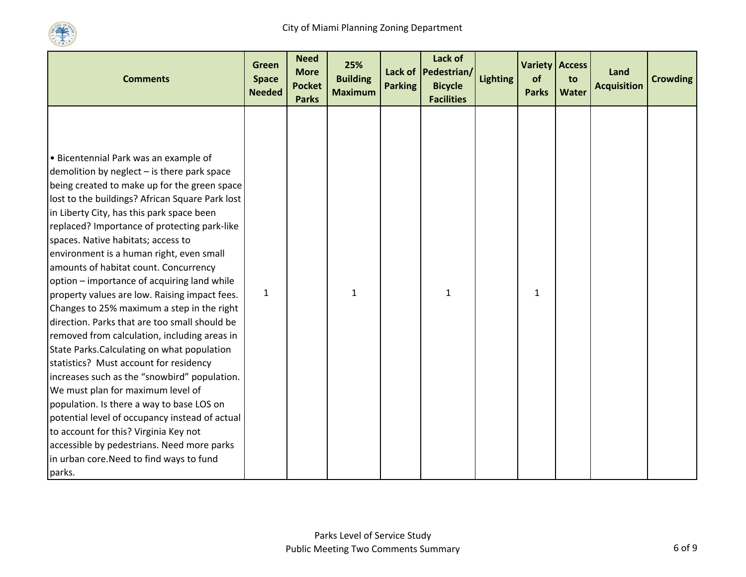

| <b>Comments</b>                                                                                                                                                                                                                                                                                                               | Green<br><b>Space</b><br><b>Needed</b> | <b>Need</b><br><b>More</b><br><b>Pocket</b><br><b>Parks</b> | 25%<br><b>Building</b><br><b>Maximum</b> | <b>Parking</b> | Lack of<br>Lack of Pedestrian/<br><b>Bicycle</b><br><b>Facilities</b> | <b>Lighting</b> | <b>Variety Access</b><br>of<br><b>Parks</b> | to<br>Water | Land<br><b>Acquisition</b> | <b>Crowding</b> |
|-------------------------------------------------------------------------------------------------------------------------------------------------------------------------------------------------------------------------------------------------------------------------------------------------------------------------------|----------------------------------------|-------------------------------------------------------------|------------------------------------------|----------------|-----------------------------------------------------------------------|-----------------|---------------------------------------------|-------------|----------------------------|-----------------|
| • Bicentennial Park was an example of<br>demolition by neglect - is there park space<br>being created to make up for the green space<br>lost to the buildings? African Square Park lost                                                                                                                                       |                                        |                                                             |                                          |                |                                                                       |                 |                                             |             |                            |                 |
| in Liberty City, has this park space been<br>replaced? Importance of protecting park-like<br>spaces. Native habitats; access to<br>environment is a human right, even small<br>amounts of habitat count. Concurrency<br>option - importance of acquiring land while                                                           |                                        |                                                             |                                          |                |                                                                       |                 |                                             |             |                            |                 |
| property values are low. Raising impact fees.<br>Changes to 25% maximum a step in the right<br>direction. Parks that are too small should be<br>removed from calculation, including areas in<br>State Parks. Calculating on what population<br>statistics? Must account for residency                                         | $\mathbf{1}$                           |                                                             | $\mathbf{1}$                             |                | 1                                                                     |                 | 1                                           |             |                            |                 |
| increases such as the "snowbird" population.<br>We must plan for maximum level of<br>population. Is there a way to base LOS on<br>potential level of occupancy instead of actual<br>to account for this? Virginia Key not<br>accessible by pedestrians. Need more parks<br>in urban core. Need to find ways to fund<br>parks. |                                        |                                                             |                                          |                |                                                                       |                 |                                             |             |                            |                 |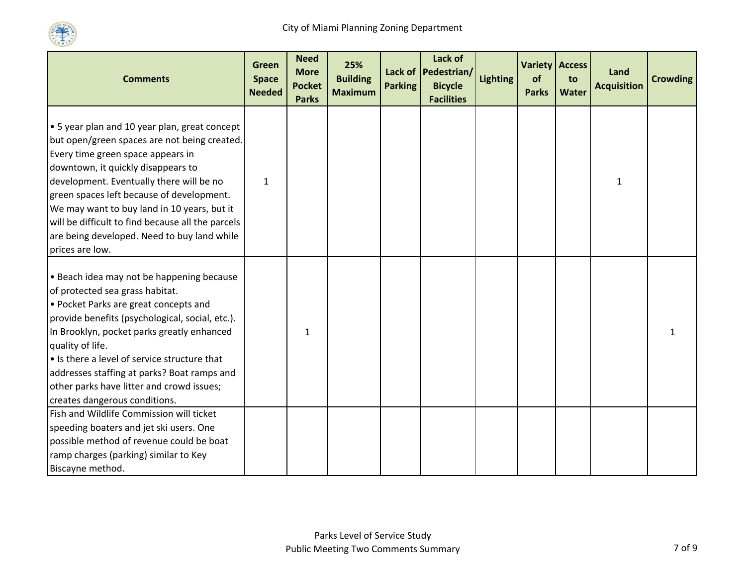

| <b>Comments</b>                                                                                                                                                                                                                                                                                                                                                                                                                               | Green<br><b>Space</b><br><b>Needed</b> | <b>Need</b><br><b>More</b><br><b>Pocket</b><br><b>Parks</b> | 25%<br><b>Building</b><br><b>Maximum</b> | <b>Parking</b> | Lack of<br>Lack of Pedestrian/<br><b>Bicycle</b><br><b>Facilities</b> | <b>Lighting</b> | <b>Variety Access</b><br>of<br><b>Parks</b> | to<br>Water | Land<br><b>Acquisition</b> | <b>Crowding</b> |
|-----------------------------------------------------------------------------------------------------------------------------------------------------------------------------------------------------------------------------------------------------------------------------------------------------------------------------------------------------------------------------------------------------------------------------------------------|----------------------------------------|-------------------------------------------------------------|------------------------------------------|----------------|-----------------------------------------------------------------------|-----------------|---------------------------------------------|-------------|----------------------------|-----------------|
| $\cdot$ 5 year plan and 10 year plan, great concept<br>but open/green spaces are not being created.<br>Every time green space appears in<br>downtown, it quickly disappears to<br>development. Eventually there will be no<br>green spaces left because of development.<br>We may want to buy land in 10 years, but it<br>will be difficult to find because all the parcels<br>are being developed. Need to buy land while<br>prices are low. | $\mathbf{1}$                           |                                                             |                                          |                |                                                                       |                 |                                             |             | 1                          |                 |
| • Beach idea may not be happening because<br>of protected sea grass habitat.<br>• Pocket Parks are great concepts and<br>provide benefits (psychological, social, etc.).<br>In Brooklyn, pocket parks greatly enhanced<br>quality of life.<br>• Is there a level of service structure that<br>addresses staffing at parks? Boat ramps and<br>other parks have litter and crowd issues;<br>creates dangerous conditions.                       |                                        | $\mathbf{1}$                                                |                                          |                |                                                                       |                 |                                             |             |                            |                 |
| Fish and Wildlife Commission will ticket<br>speeding boaters and jet ski users. One<br>possible method of revenue could be boat<br>ramp charges (parking) similar to Key<br>Biscayne method.                                                                                                                                                                                                                                                  |                                        |                                                             |                                          |                |                                                                       |                 |                                             |             |                            |                 |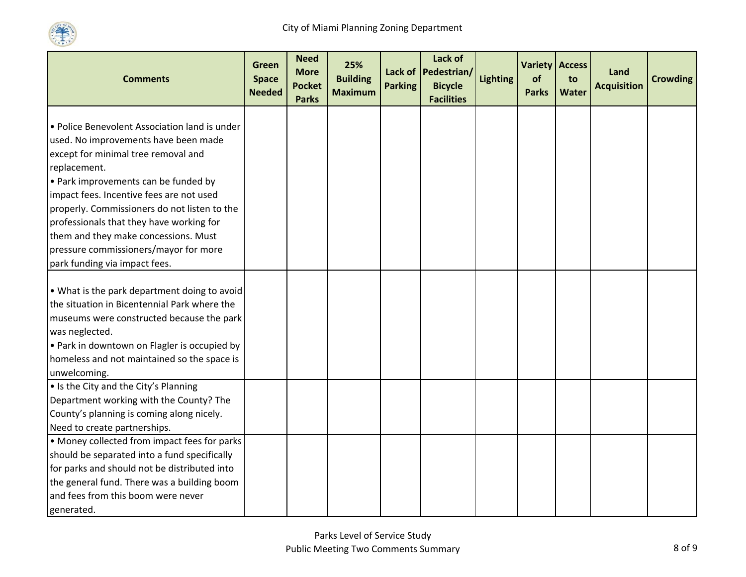

| <b>Comments</b>                                                                          | Green<br><b>Space</b><br><b>Needed</b> | <b>Need</b><br><b>More</b><br><b>Pocket</b><br><b>Parks</b> | 25%<br><b>Building</b><br><b>Maximum</b> | <b>Parking</b> | Lack of<br>Lack of Pedestrian/<br><b>Bicycle</b><br><b>Facilities</b> | <b>Lighting</b> | <b>Variety Access</b><br>of<br><b>Parks</b> | to<br><b>Water</b> | Land<br><b>Acquisition</b> | <b>Crowding</b> |
|------------------------------------------------------------------------------------------|----------------------------------------|-------------------------------------------------------------|------------------------------------------|----------------|-----------------------------------------------------------------------|-----------------|---------------------------------------------|--------------------|----------------------------|-----------------|
|                                                                                          |                                        |                                                             |                                          |                |                                                                       |                 |                                             |                    |                            |                 |
| • Police Benevolent Association land is under                                            |                                        |                                                             |                                          |                |                                                                       |                 |                                             |                    |                            |                 |
| used. No improvements have been made                                                     |                                        |                                                             |                                          |                |                                                                       |                 |                                             |                    |                            |                 |
| except for minimal tree removal and                                                      |                                        |                                                             |                                          |                |                                                                       |                 |                                             |                    |                            |                 |
| replacement.                                                                             |                                        |                                                             |                                          |                |                                                                       |                 |                                             |                    |                            |                 |
| • Park improvements can be funded by                                                     |                                        |                                                             |                                          |                |                                                                       |                 |                                             |                    |                            |                 |
| impact fees. Incentive fees are not used                                                 |                                        |                                                             |                                          |                |                                                                       |                 |                                             |                    |                            |                 |
| properly. Commissioners do not listen to the<br>professionals that they have working for |                                        |                                                             |                                          |                |                                                                       |                 |                                             |                    |                            |                 |
| them and they make concessions. Must                                                     |                                        |                                                             |                                          |                |                                                                       |                 |                                             |                    |                            |                 |
| pressure commissioners/mayor for more                                                    |                                        |                                                             |                                          |                |                                                                       |                 |                                             |                    |                            |                 |
| park funding via impact fees.                                                            |                                        |                                                             |                                          |                |                                                                       |                 |                                             |                    |                            |                 |
|                                                                                          |                                        |                                                             |                                          |                |                                                                       |                 |                                             |                    |                            |                 |
| . What is the park department doing to avoid                                             |                                        |                                                             |                                          |                |                                                                       |                 |                                             |                    |                            |                 |
| the situation in Bicentennial Park where the                                             |                                        |                                                             |                                          |                |                                                                       |                 |                                             |                    |                            |                 |
| museums were constructed because the park                                                |                                        |                                                             |                                          |                |                                                                       |                 |                                             |                    |                            |                 |
| was neglected.                                                                           |                                        |                                                             |                                          |                |                                                                       |                 |                                             |                    |                            |                 |
| • Park in downtown on Flagler is occupied by                                             |                                        |                                                             |                                          |                |                                                                       |                 |                                             |                    |                            |                 |
| homeless and not maintained so the space is                                              |                                        |                                                             |                                          |                |                                                                       |                 |                                             |                    |                            |                 |
| unwelcoming.                                                                             |                                        |                                                             |                                          |                |                                                                       |                 |                                             |                    |                            |                 |
| • Is the City and the City's Planning                                                    |                                        |                                                             |                                          |                |                                                                       |                 |                                             |                    |                            |                 |
| Department working with the County? The                                                  |                                        |                                                             |                                          |                |                                                                       |                 |                                             |                    |                            |                 |
| County's planning is coming along nicely.                                                |                                        |                                                             |                                          |                |                                                                       |                 |                                             |                    |                            |                 |
| Need to create partnerships.                                                             |                                        |                                                             |                                          |                |                                                                       |                 |                                             |                    |                            |                 |
| • Money collected from impact fees for parks                                             |                                        |                                                             |                                          |                |                                                                       |                 |                                             |                    |                            |                 |
| should be separated into a fund specifically                                             |                                        |                                                             |                                          |                |                                                                       |                 |                                             |                    |                            |                 |
| for parks and should not be distributed into                                             |                                        |                                                             |                                          |                |                                                                       |                 |                                             |                    |                            |                 |
| the general fund. There was a building boom                                              |                                        |                                                             |                                          |                |                                                                       |                 |                                             |                    |                            |                 |
| and fees from this boom were never                                                       |                                        |                                                             |                                          |                |                                                                       |                 |                                             |                    |                            |                 |
| generated.                                                                               |                                        |                                                             |                                          |                |                                                                       |                 |                                             |                    |                            |                 |